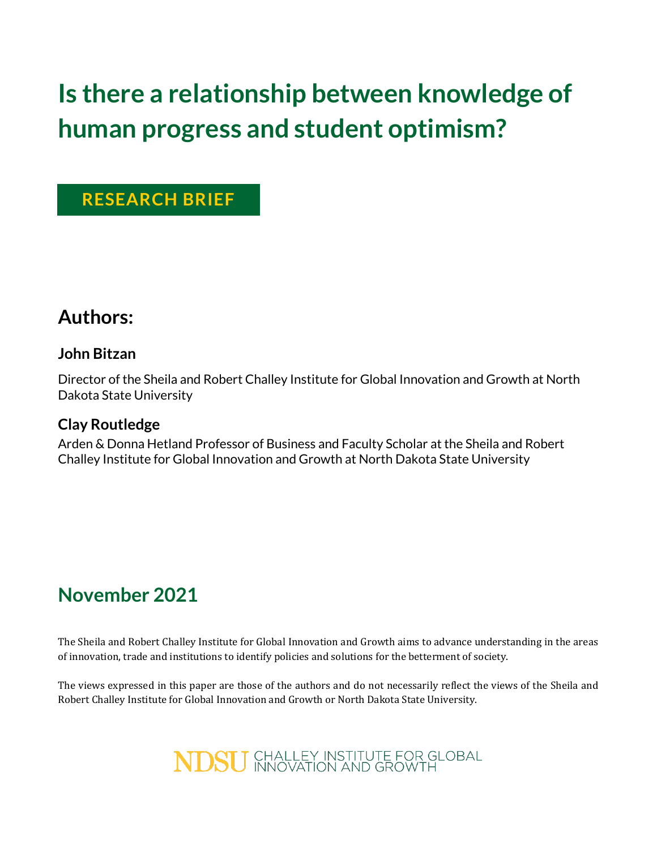# **Is there a relationship between knowledge of human progress and student optimism?**

### **RESEARCH BRIEF**

### **Authors:**

### **John Bitzan**

Director of the Sheila and Robert Challey Institute for Global Innovation and Growth at North Dakota State University

### **Clay Routledge**

Arden & Donna Hetland Professor of Business and Faculty Scholar at the Sheila and Robert Challey Institute for Global Innovation and Growth at North Dakota State University

# **November 2021**

The Sheila and Robert Challey Institute for Global Innovation and Growth aims to advance understanding in the areas of innovation, trade and institutions to identify policies and solutions for the betterment of society.

The views expressed in this paper are those of the authors and do not necessarily reflect the views of the Sheila and Robert Challey Institute for Global Innovation and Growth or North Dakota State University.

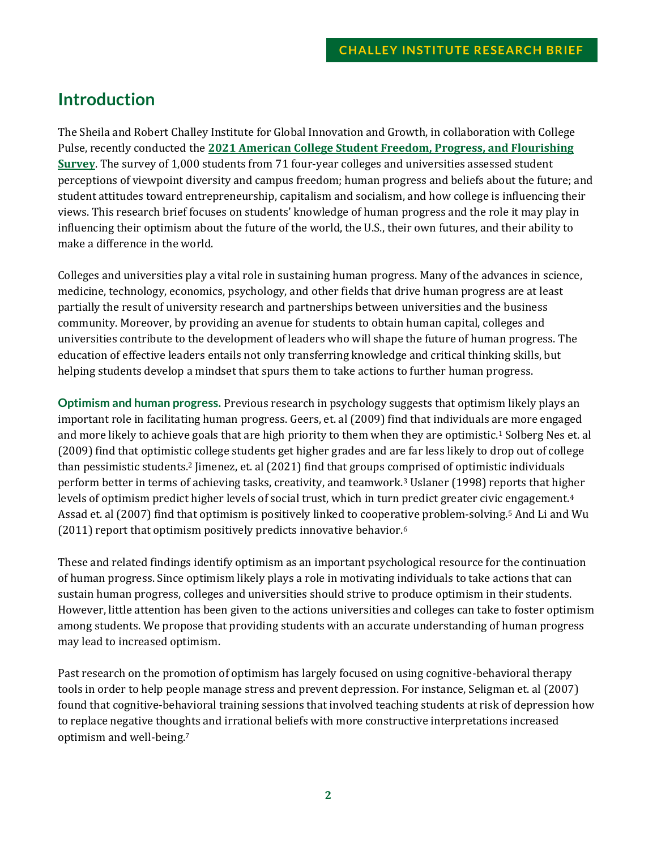### **Introduction**

The Sheila and Robert Challey Institute for Global Innovation and Growth, in collaboration with College Pulse, recently conducted the **[2021 American College Student Freedom, Progress, and Flourishing](https://www.ndsu.edu/challeyinstitute/research/publications/american_college_student_freedom_progress_and_flourishing_survey/)  [Survey](https://www.ndsu.edu/challeyinstitute/research/publications/american_college_student_freedom_progress_and_flourishing_survey/)**. The survey of 1,000 students from 71 four-year colleges and universities assessed student perceptions of viewpoint diversity and campus freedom; human progress and beliefs about the future; and student attitudes toward entrepreneurship, capitalism and socialism, and how college is influencing their views. This research brief focuses on students' knowledge of human progress and the role it may play in influencing their optimism about the future of the world, the U.S., their own futures, and their ability to make a difference in the world.

Colleges and universities play a vital role in sustaining human progress. Many of the advances in science, medicine, technology, economics, psychology, and other fields that drive human progress are at least partially the result of university research and partnerships between universities and the business community. Moreover, by providing an avenue for students to obtain human capital, colleges and universities contribute to the development of leaders who will shape the future of human progress. The education of effective leaders entails not only transferring knowledge and critical thinking skills, but helping students develop a mindset that spurs them to take actions to further human progress.

**Optimism and human progress.** Previous research in psychology suggests that optimism likely plays an important role in facilitating human progress. Geers, et. al (2009) find that individuals are more engaged and more likely to achieve goals that are high priority to them when they are optimistic.<sup>1</sup> Solberg Nes et. al (2009) find that optimistic college students get higher grades and are far less likely to drop out of college than pessimistic students.<sup>2</sup> Jimenez, et. al (2021) find that groups comprised of optimistic individuals perform better in terms of achieving tasks, creativity, and teamwork.<sup>3</sup> Uslaner (1998) reports that higher levels of optimism predict higher levels of social trust, which in turn predict greater civic engagement.<sup>4</sup> Assad et. al (2007) find that optimism is positively linked to cooperative problem-solving.<sup>5</sup> And Li and Wu (2011) report that optimism positively predicts innovative behavior.<sup>6</sup>

These and related findings identify optimism as an important psychological resource for the continuation of human progress. Since optimism likely plays a role in motivating individuals to take actions that can sustain human progress, colleges and universities should strive to produce optimism in their students. However, little attention has been given to the actions universities and colleges can take to foster optimism among students. We propose that providing students with an accurate understanding of human progress may lead to increased optimism.

Past research on the promotion of optimism has largely focused on using cognitive-behavioral therapy tools in order to help people manage stress and prevent depression. For instance, Seligman et. al (2007) found that cognitive-behavioral training sessions that involved teaching students at risk of depression how to replace negative thoughts and irrational beliefs with more constructive interpretations increased optimism and well-being.7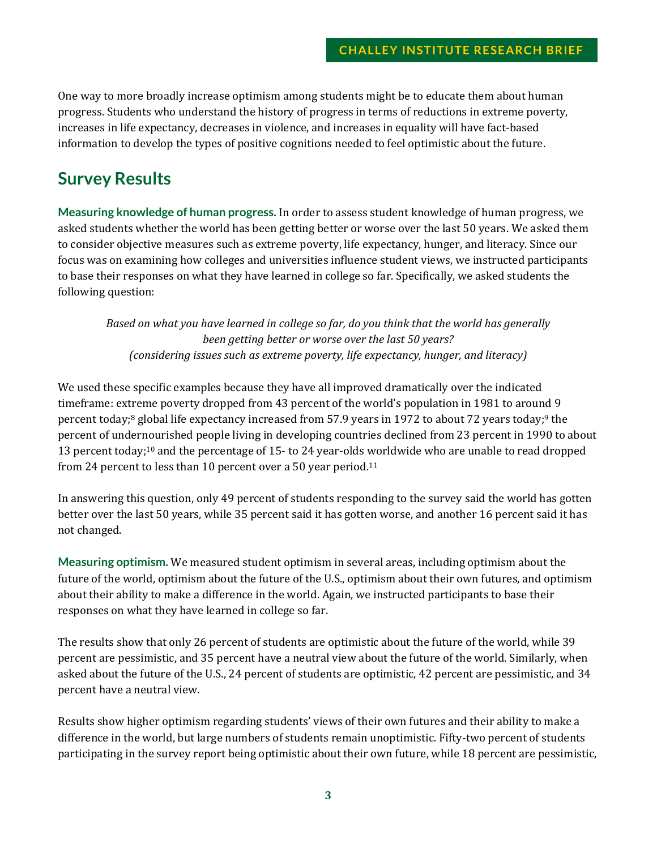One way to more broadly increase optimism among students might be to educate them about human progress. Students who understand the history of progress in terms of reductions in extreme poverty, increases in life expectancy, decreases in violence, and increases in equality will have fact-based information to develop the types of positive cognitions needed to feel optimistic about the future.

### **Survey Results**

**Measuring knowledge of human progress.** In order to assess student knowledge of human progress, we asked students whether the world has been getting better or worse over the last 50 years. We asked them to consider objective measures such as extreme poverty, life expectancy, hunger, and literacy. Since our focus was on examining how colleges and universities influence student views, we instructed participants to base their responses on what they have learned in college so far. Specifically, we asked students the following question:

*Based on what you have learned in college so far, do you think that the world has generally been getting better or worse over the last 50 years? (considering issues such as extreme poverty, life expectancy, hunger, and literacy)*

We used these specific examples because they have all improved dramatically over the indicated timeframe: extreme poverty dropped from 43 percent of the world's population in 1981 to around 9 percent today; <sup>8</sup> global life expectancy increased from 57.9 years in 1972 to about 72 years today; <sup>9</sup> the percent of undernourished people living in developing countries declined from 23 percent in 1990 to about 13 percent today; <sup>10</sup> and the percentage of 15- to 24 year-olds worldwide who are unable to read dropped from 24 percent to less than 10 percent over a 50 year period.<sup>11</sup>

In answering this question, only 49 percent of students responding to the survey said the world has gotten better over the last 50 years, while 35 percent said it has gotten worse, and another 16 percent said it has not changed.

**Measuring optimism.** We measured student optimism in several areas, including optimism about the future of the world, optimism about the future of the U.S., optimism about their own futures, and optimism about their ability to make a difference in the world. Again, we instructed participants to base their responses on what they have learned in college so far.

The results show that only 26 percent of students are optimistic about the future of the world, while 39 percent are pessimistic, and 35 percent have a neutral view about the future of the world. Similarly, when asked about the future of the U.S., 24 percent of students are optimistic, 42 percent are pessimistic, and 34 percent have a neutral view.

Results show higher optimism regarding students' views of their own futures and their ability to make a difference in the world, but large numbers of students remain unoptimistic. Fifty-two percent of students participating in the survey report being optimistic about their own future, while 18 percent are pessimistic,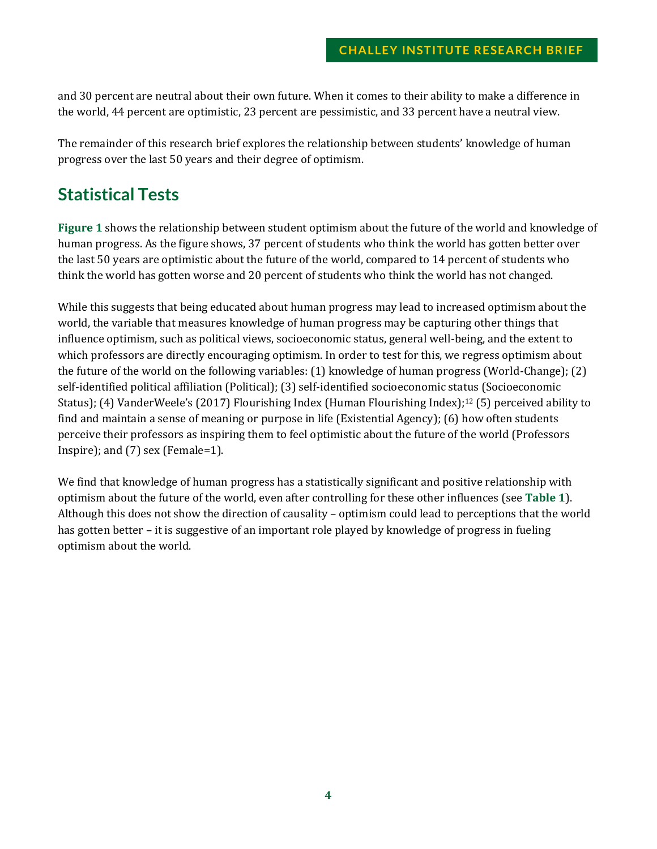and 30 percent are neutral about their own future. When it comes to their ability to make a difference in the world, 44 percent are optimistic, 23 percent are pessimistic, and 33 percent have a neutral view.

The remainder of this research brief explores the relationship between students' knowledge of human progress over the last 50 years and their degree of optimism.

# **Statistical Tests**

**[Figure 1](#page-4-0)** shows the relationship between student optimism about the future of the world and knowledge of human progress. As the figure shows, 37 percent of students who think the world has gotten better over the last 50 years are optimistic about the future of the world, compared to 14 percent of students who think the world has gotten worse and 20 percent of students who think the world has not changed.

While this suggests that being educated about human progress may lead to increased optimism about the world, the variable that measures knowledge of human progress may be capturing other things that influence optimism, such as political views, socioeconomic status, general well-being, and the extent to which professors are directly encouraging optimism. In order to test for this, we regress optimism about the future of the world on the following variables: (1) knowledge of human progress (World-Change); (2) self-identified political affiliation (Political); (3) self-identified socioeconomic status (Socioeconomic Status); (4) VanderWeele's (2017) Flourishing Index (Human Flourishing Index); <sup>12</sup> (5) perceived ability to find and maintain a sense of meaning or purpose in life (Existential Agency); (6) how often students perceive their professors as inspiring them to feel optimistic about the future of the world (Professors Inspire); and (7) sex (Female=1).

We find that knowledge of human progress has a statistically significant and positive relationship with optimism about the future of the world, even after controlling for these other influences (see **[Table 1](#page-4-1)**). Although this does not show the direction of causality – optimism could lead to perceptions that the world has gotten better – it is suggestive of an important role played by knowledge of progress in fueling optimism about the world.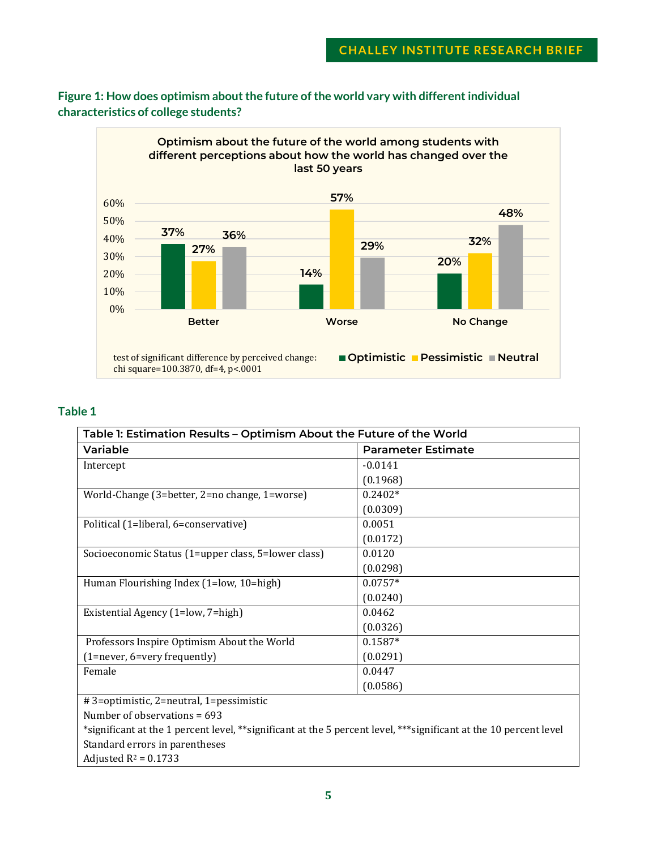

#### <span id="page-4-0"></span>**Figure 1: How does optimism about the future of the world vary with different individual characteristics of college students?**

#### <span id="page-4-1"></span>**Table 1**

| Table 1: Estimation Results - Optimism About the Future of the World                                              |                           |  |
|-------------------------------------------------------------------------------------------------------------------|---------------------------|--|
| Variable                                                                                                          | <b>Parameter Estimate</b> |  |
| Intercept                                                                                                         | $-0.0141$                 |  |
|                                                                                                                   | (0.1968)                  |  |
| World-Change (3=better, 2=no change, 1=worse)                                                                     | $0.2402*$                 |  |
|                                                                                                                   | (0.0309)                  |  |
| Political (1=liberal, 6=conservative)                                                                             | 0.0051                    |  |
|                                                                                                                   | (0.0172)                  |  |
| Socioeconomic Status (1=upper class, 5=lower class)                                                               | 0.0120                    |  |
|                                                                                                                   | (0.0298)                  |  |
| Human Flourishing Index (1=low, 10=high)                                                                          | $0.0757*$                 |  |
|                                                                                                                   | (0.0240)                  |  |
| Existential Agency (1=low, 7=high)                                                                                | 0.0462                    |  |
|                                                                                                                   | (0.0326)                  |  |
| Professors Inspire Optimism About the World                                                                       | $0.1587*$                 |  |
| (1=never, 6=very frequently)                                                                                      | (0.0291)                  |  |
| Female                                                                                                            | 0.0447                    |  |
|                                                                                                                   | (0.0586)                  |  |
| #3=optimistic, 2=neutral, 1=pessimistic                                                                           |                           |  |
| Number of observations = 693                                                                                      |                           |  |
| *significant at the 1 percent level, **significant at the 5 percent level, ***significant at the 10 percent level |                           |  |

Standard errors in parentheses

Adjusted  $R^2$  = 0.1733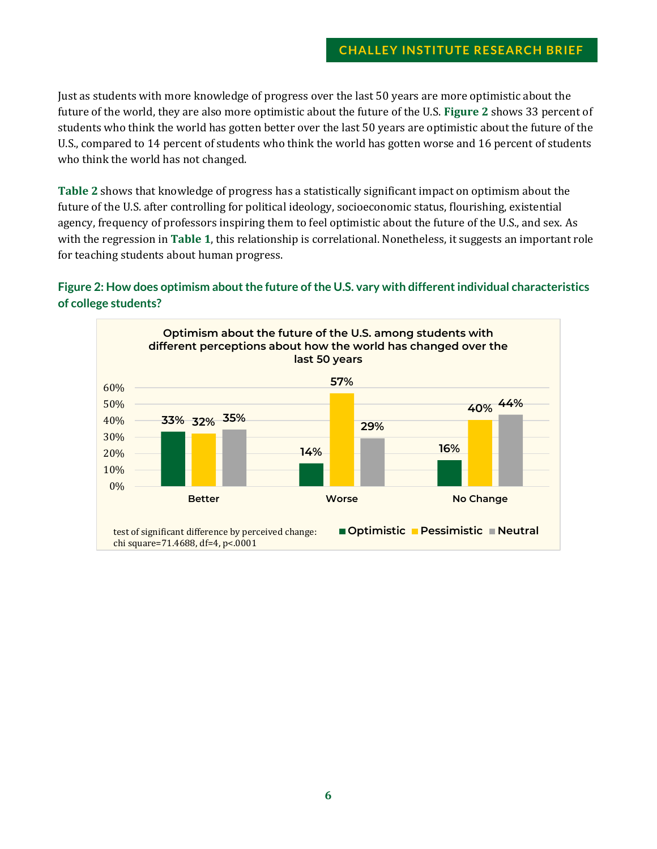Just as students with more knowledge of progress over the last 50 years are more optimistic about the future of the world, they are also more optimistic about the future of the U.S. **[Figure 2](#page-5-0)** shows 33 percent of students who think the world has gotten better over the last 50 years are optimistic about the future of the U.S., compared to 14 percent of students who think the world has gotten worse and 16 percent of students who think the world has not changed.

**[Table 2](#page-6-0)** shows that knowledge of progress has a statistically significant impact on optimism about the future of the U.S. after controlling for political ideology, socioeconomic status, flourishing, existential agency, frequency of professors inspiring them to feel optimistic about the future of the U.S., and sex. As with the regression in **[Table 1](#page-4-1)**, this relationship is correlational. Nonetheless, it suggests an important role for teaching students about human progress.

### <span id="page-5-0"></span>**Figure 2: How does optimism about the future of the U.S. vary with different individual characteristics of college students?**

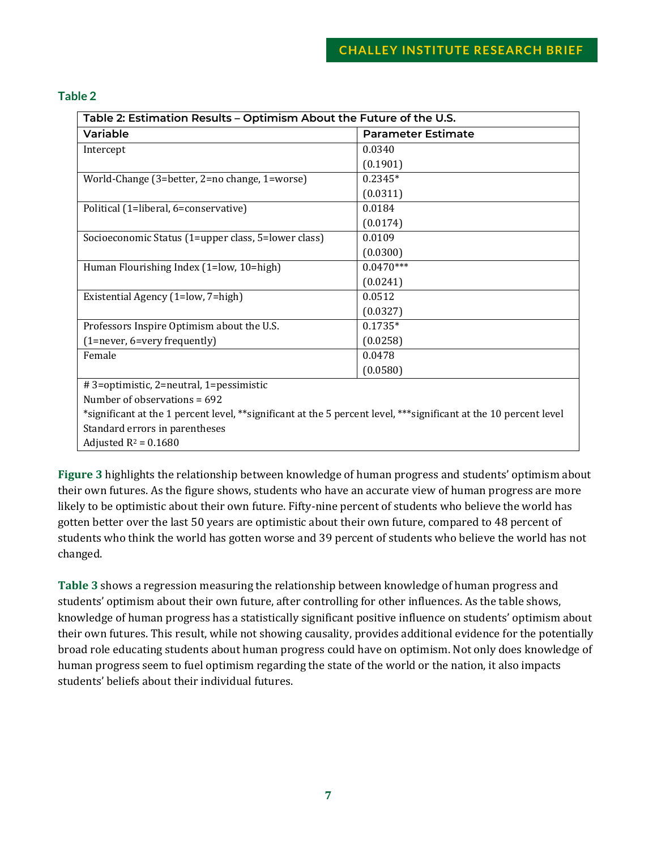#### <span id="page-6-0"></span>**Table 2**

| Table 2: Estimation Results - Optimism About the Future of the U.S.                                               |                           |  |
|-------------------------------------------------------------------------------------------------------------------|---------------------------|--|
| <b>Variable</b>                                                                                                   | <b>Parameter Estimate</b> |  |
| Intercept                                                                                                         | 0.0340                    |  |
|                                                                                                                   | (0.1901)                  |  |
| World-Change (3=better, 2=no change, 1=worse)                                                                     | $0.2345*$                 |  |
|                                                                                                                   | (0.0311)                  |  |
| Political (1=liberal, 6=conservative)                                                                             | 0.0184                    |  |
|                                                                                                                   | (0.0174)                  |  |
| Socioeconomic Status (1=upper class, 5=lower class)                                                               | 0.0109                    |  |
|                                                                                                                   | (0.0300)                  |  |
| Human Flourishing Index (1=low, 10=high)                                                                          | $0.0470***$               |  |
|                                                                                                                   | (0.0241)                  |  |
| Existential Agency (1=low, 7=high)                                                                                | 0.0512                    |  |
|                                                                                                                   | (0.0327)                  |  |
| Professors Inspire Optimism about the U.S.                                                                        | $0.1735*$                 |  |
| (1=never, 6=very frequently)                                                                                      | (0.0258)                  |  |
| Female                                                                                                            | 0.0478                    |  |
|                                                                                                                   | (0.0580)                  |  |
| # 3=optimistic, 2=neutral, 1=pessimistic                                                                          |                           |  |
| Number of observations $= 692$                                                                                    |                           |  |
| *significant at the 1 percent level, **significant at the 5 percent level, ***significant at the 10 percent level |                           |  |
| Standard errors in parentheses                                                                                    |                           |  |
| Adjusted $R^2$ = 0.1680                                                                                           |                           |  |

**[Figure 3](#page-7-0)** highlights the relationship between knowledge of human progress and students' optimism about their own futures. As the figure shows, students who have an accurate view of human progress are more likely to be optimistic about their own future. Fifty-nine percent of students who believe the world has gotten better over the last 50 years are optimistic about their own future, compared to 48 percent of students who think the world has gotten worse and 39 percent of students who believe the world has not changed.

**[Table 3](#page-7-1)** shows a regression measuring the relationship between knowledge of human progress and students' optimism about their own future, after controlling for other influences. As the table shows, knowledge of human progress has a statistically significant positive influence on students' optimism about their own futures. This result, while not showing causality, provides additional evidence for the potentially broad role educating students about human progress could have on optimism. Not only does knowledge of human progress seem to fuel optimism regarding the state of the world or the nation, it also impacts students' beliefs about their individual futures.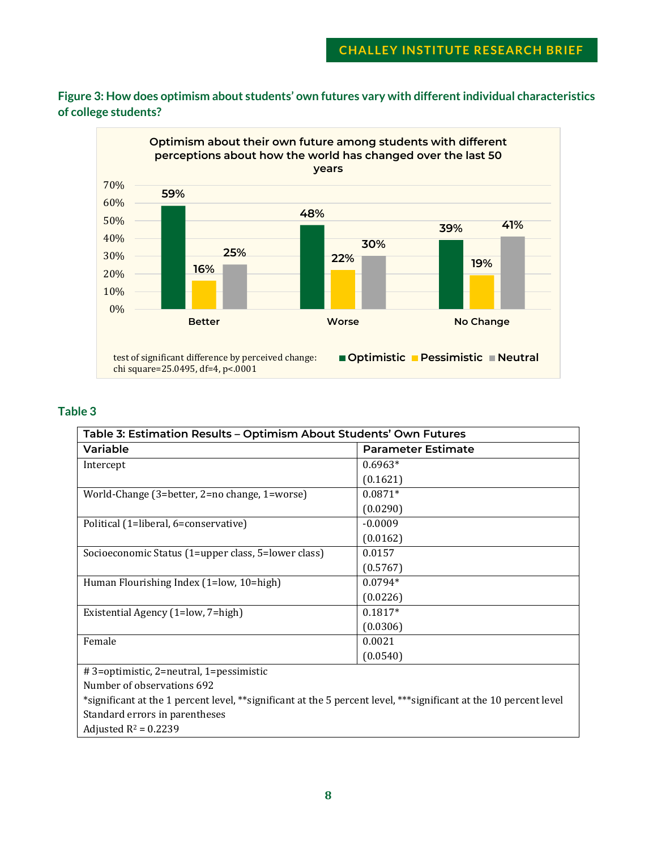<span id="page-7-0"></span>**Figure 3: How does optimism about students' own futures vary with different individual characteristics of college students?**



#### <span id="page-7-1"></span>**Table 3**

| Table 3: Estimation Results - Optimism About Students' Own Futures |                           |  |
|--------------------------------------------------------------------|---------------------------|--|
| Variable                                                           | <b>Parameter Estimate</b> |  |
| Intercept                                                          | $0.6963*$                 |  |
|                                                                    | (0.1621)                  |  |
| World-Change (3=better, 2=no change, 1=worse)                      | $0.0871*$                 |  |
|                                                                    | (0.0290)                  |  |
| Political (1=liberal, 6=conservative)                              | $-0.0009$                 |  |
|                                                                    | (0.0162)                  |  |
| Socioeconomic Status (1=upper class, 5=lower class)                | 0.0157                    |  |
|                                                                    | (0.5767)                  |  |
| Human Flourishing Index (1=low, 10=high)                           | $0.0794*$                 |  |
|                                                                    | (0.0226)                  |  |
| Existential Agency (1=low, 7=high)                                 | $0.1817*$                 |  |
|                                                                    | (0.0306)                  |  |
| Female                                                             | 0.0021                    |  |
|                                                                    | (0.0540)                  |  |

# 3=optimistic, 2=neutral, 1=pessimistic

Number of observations 692

\*significant at the 1 percent level, \*\*significant at the 5 percent level, \*\*\*significant at the 10 percent level Standard errors in parentheses

Adjusted  $R^2$  = 0.2239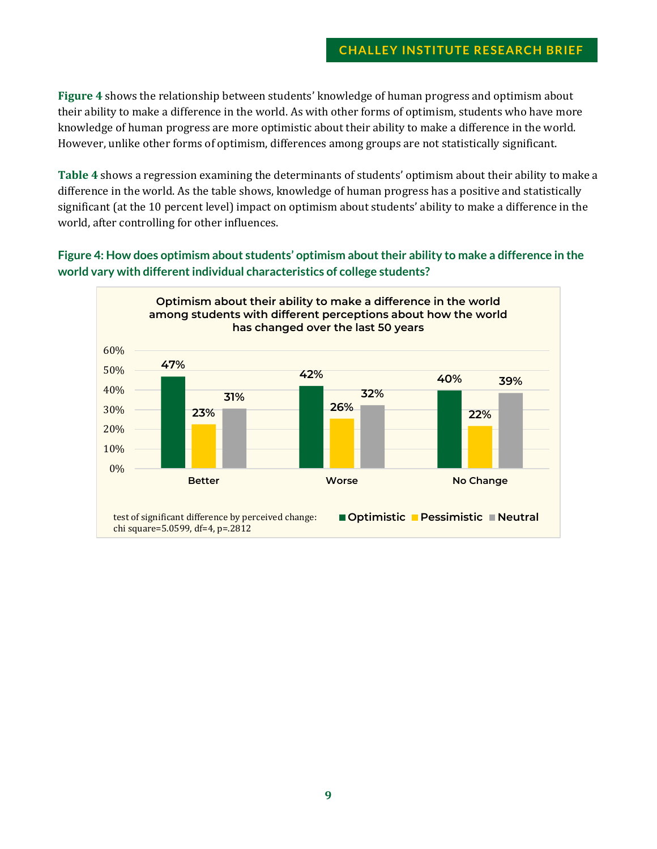#### **CHALLEY INSTITUTE RESEARCH BRIEF**

**[Figure 4](#page-8-0)** shows the relationship between students' knowledge of human progress and optimism about their ability to make a difference in the world. As with other forms of optimism, students who have more knowledge of human progress are more optimistic about their ability to make a difference in the world. However, unlike other forms of optimism, differences among groups are not statistically significant.

**[Table 4](#page-9-0)** shows a regression examining the determinants of students' optimism about their ability to make a difference in the world. As the table shows, knowledge of human progress has a positive and statistically significant (at the 10 percent level) impact on optimism about students' ability to make a difference in the world, after controlling for other influences.

<span id="page-8-0"></span>**Figure 4: How does optimism about students' optimism about their ability to make a difference in the world vary with different individual characteristics of college students?**

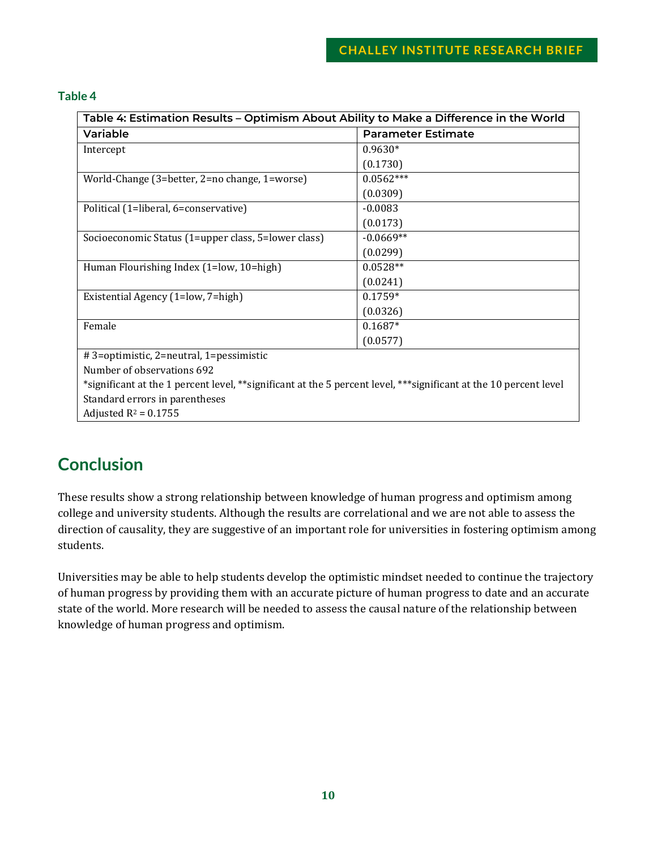#### <span id="page-9-0"></span>**Table 4**

| Table 4: Estimation Results – Optimism About Ability to Make a Difference in the World                            |                           |  |
|-------------------------------------------------------------------------------------------------------------------|---------------------------|--|
| Variable                                                                                                          | <b>Parameter Estimate</b> |  |
| Intercept                                                                                                         | $0.9630*$                 |  |
|                                                                                                                   | (0.1730)                  |  |
| World-Change (3=better, 2=no change, 1=worse)                                                                     | $0.0562***$               |  |
|                                                                                                                   | (0.0309)                  |  |
| Political (1=liberal, 6=conservative)                                                                             | $-0.0083$                 |  |
|                                                                                                                   | (0.0173)                  |  |
| Socioeconomic Status (1=upper class, 5=lower class)                                                               | $-0.0669**$               |  |
|                                                                                                                   | (0.0299)                  |  |
| Human Flourishing Index (1=low, 10=high)                                                                          | $0.0528**$                |  |
|                                                                                                                   | (0.0241)                  |  |
| Existential Agency (1=low, 7=high)                                                                                | $0.1759*$                 |  |
|                                                                                                                   | (0.0326)                  |  |
| Female                                                                                                            | $0.1687*$                 |  |
|                                                                                                                   | (0.0577)                  |  |
| # 3=optimistic, 2=neutral, 1=pessimistic                                                                          |                           |  |
| Number of observations 692                                                                                        |                           |  |
| *significant at the 1 percent level, **significant at the 5 percent level, ***significant at the 10 percent level |                           |  |

Standard errors in parentheses Adjusted  $R^2$  = 0.1755

# **Conclusion**

These results show a strong relationship between knowledge of human progress and optimism among college and university students. Although the results are correlational and we are not able to assess the direction of causality, they are suggestive of an important role for universities in fostering optimism among students.

Universities may be able to help students develop the optimistic mindset needed to continue the trajectory of human progress by providing them with an accurate picture of human progress to date and an accurate state of the world. More research will be needed to assess the causal nature of the relationship between knowledge of human progress and optimism.